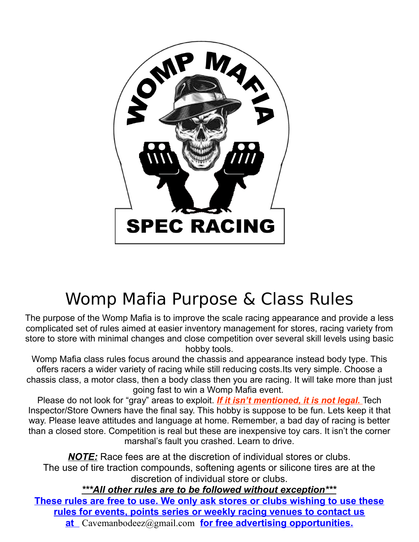

# Womp Mafia Purpose & Class Rules

The purpose of the Womp Mafia is to improve the scale racing appearance and provide a less complicated set of rules aimed at easier inventory management for stores, racing variety from store to store with minimal changes and close competition over several skill levels using basic hobby tools.

Womp Mafia class rules focus around the chassis and appearance instead body type. This offers racers a wider variety of racing while still reducing costs.Its very simple. Choose a chassis class, a motor class, then a body class then you are racing. It will take more than just going fast to win a Womp Mafia event.

Please do not look for "gray" areas to exploit. *If it isn't mentioned, it is not legal.* Tech Inspector/Store Owners have the final say. This hobby is suppose to be fun. Lets keep it that way. Please leave attitudes and language at home. Remember, a bad day of racing is better than a closed store. Competition is real but these are inexpensive toy cars. It isn't the corner marshal's fault you crashed. Learn to drive.

*NOTE:* Race fees are at the discretion of individual stores or clubs. The use of tire traction compounds, softening agents or silicone tires are at the discretion of individual store or clubs.

*\*\*\*All other rules are to be followed without exception\*\*\** **These rules are free to use. We only ask stores or clubs wishing to use these rules for events, points series or weekly racing venues to contact us at** [Cavemanbodeez@gmail.com](mailto:Cavemanbodeez@gmail.com) **for free advertising opportunities.**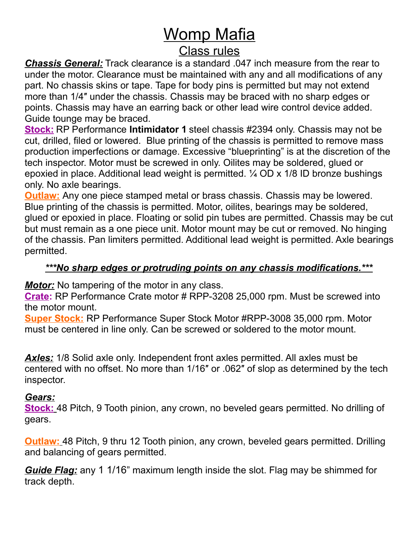# Womp Mafia

# Class rules

*Chassis General:* Track clearance is a standard .047 inch measure from the rear to under the motor. Clearance must be maintained with any and all modifications of any part. No chassis skins or tape. Tape for body pins is permitted but may not extend more than 1/4″ under the chassis. Chassis may be braced with no sharp edges or points. Chassis may have an earring back or other lead wire control device added. Guide tounge may be braced.

**Stock:** RP Performance **Intimidator 1** steel chassis #2394 only. Chassis may not be cut, drilled, filed or lowered. Blue printing of the chassis is permitted to remove mass production imperfections or damage. Excessive "blueprinting" is at the discretion of the tech inspector. Motor must be screwed in only. Oilites may be soldered, glued or epoxied in place. Additional lead weight is permitted. ¼ OD x 1/8 ID bronze bushings only. No axle bearings.

**Outlaw:** Any one piece stamped metal or brass chassis. Chassis may be lowered. Blue printing of the chassis is permitted. Motor, oilites, bearings may be soldered, glued or epoxied in place. Floating or solid pin tubes are permitted. Chassis may be cut but must remain as a one piece unit. Motor mount may be cut or removed. No hinging of the chassis. Pan limiters permitted. Additional lead weight is permitted. Axle bearings permitted.

#### *\*\*\*No sharp edges or protruding points on any chassis modifications.\*\*\**

*Motor:* No tampering of the motor in any class.

**Crate:** RP Performance Crate motor # RPP-3208 25,000 rpm. Must be screwed into the motor mount.

**Super Stock:** RP Performance Super Stock Motor #RPP-3008 35,000 rpm. Motor must be centered in line only. Can be screwed or soldered to the motor mount.

*Axles:* 1/8 Solid axle only. Independent front axles permitted. All axles must be centered with no offset. No more than 1/16″ or .062″ of slop as determined by the tech inspector.

#### *Gears:*

 **Stock:** 48 Pitch, 9 Tooth pinion, any crown, no beveled gears permitted. No drilling of gears.

 **Outlaw:** 48 Pitch, 9 thru 12 Tooth pinion, any crown, beveled gears permitted. Drilling and balancing of gears permitted.

*Guide Flag:* any 1 1/16" maximum length inside the slot. Flag may be shimmed for track depth.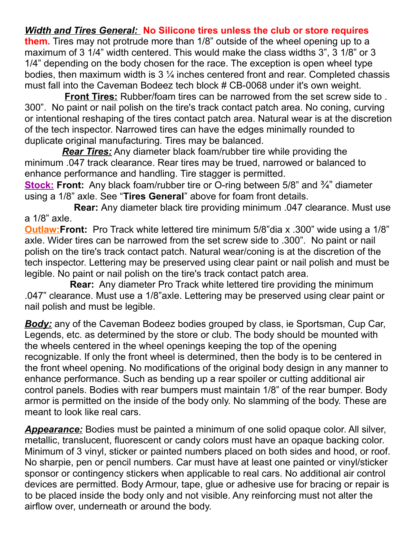### *Width and Tires General:* **No Silicone tires unless the club or store requires**

**them.** Tires may not protrude more than 1/8" outside of the wheel opening up to a maximum of 3 1/4" width centered. This would make the class widths 3", 3 1/8" or 3 1/4" depending on the body chosen for the race. The exception is open wheel type bodies, then maximum width is 3 ¼ inches centered front and rear. Completed chassis must fall into the Caveman Bodeez tech block # CB-0068 under it's own weight.

 **Front Tires:** Rubber/foam tires can be narrowed from the set screw side to . 300". No paint or nail polish on the tire's track contact patch area. No coning, curving or intentional reshaping of the tires contact patch area. Natural wear is at the discretion of the tech inspector. Narrowed tires can have the edges minimally rounded to duplicate original manufacturing. Tires may be balanced.

 *Rear Tires:* Any diameter black foam/rubber tire while providing the minimum .047 track clearance. Rear tires may be trued, narrowed or balanced to enhance performance and handling. Tire stagger is permitted.

**Stock: Front:** Any black foam/rubber tire or O-ring between 5/8" and <sup>3</sup>/<sub>4</sub>" diameter using a 1/8" axle. See "**Tires General**" above for foam front details.

**Rear:** Any diameter black tire providing minimum .047 clearance. Must use a 1/8" axle.

**Outlaw:Front:** Pro Track white lettered tire minimum 5/8"dia x .300" wide using a 1/8" axle. Wider tires can be narrowed from the set screw side to .300". No paint or nail polish on the tire's track contact patch. Natural wear/coning is at the discretion of the tech inspector. Lettering may be preserved using clear paint or nail polish and must be legible. No paint or nail polish on the tire's track contact patch area.

**Rear:** Any diameter Pro Track white lettered tire providing the minimum .047" clearance. Must use a 1/8"axle. Lettering may be preserved using clear paint or nail polish and must be legible.

*Body:* any of the Caveman Bodeez bodies grouped by class, ie Sportsman, Cup Car, Legends, etc. as determined by the store or club. The body should be mounted with the wheels centered in the wheel openings keeping the top of the opening recognizable. If only the front wheel is determined, then the body is to be centered in the front wheel opening. No modifications of the original body design in any manner to enhance performance. Such as bending up a rear spoiler or cutting additional air control panels. Bodies with rear bumpers must maintain 1/8" of the rear bumper. Body armor is permitted on the inside of the body only. No slamming of the body. These are meant to look like real cars.

*Appearance:* Bodies must be painted a minimum of one solid opaque color. All silver, metallic, translucent, fluorescent or candy colors must have an opaque backing color. Minimum of 3 vinyl, sticker or painted numbers placed on both sides and hood, or roof. No sharpie, pen or pencil numbers. Car must have at least one painted or vinyl/sticker sponsor or contingency stickers when applicable to real cars. No additional air control devices are permitted. Body Armour, tape, glue or adhesive use for bracing or repair is to be placed inside the body only and not visible. Any reinforcing must not alter the airflow over, underneath or around the body.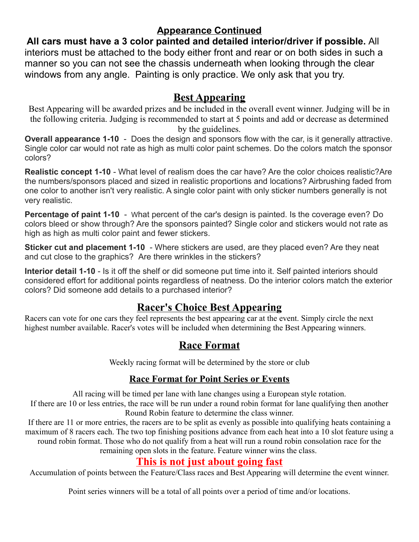## **Appearance Continued**

**All cars must have a 3 color painted and detailed interior/driver if possible.** All interiors must be attached to the body either front and rear or on both sides in such a manner so you can not see the chassis underneath when looking through the clear windows from any angle. Painting is only practice. We only ask that you try.

### **Best Appearing**

Best Appearing will be awarded prizes and be included in the overall event winner. Judging will be in the following criteria. Judging is recommended to start at 5 points and add or decrease as determined by the guidelines.

**Overall appearance 1-10** - Does the design and sponsors flow with the car, is it generally attractive. Single color car would not rate as high as multi color paint schemes. Do the colors match the sponsor colors?

**Realistic concept 1-10** - What level of realism does the car have? Are the color choices realistic?Are the numbers/sponsors placed and sized in realistic proportions and locations? Airbrushing faded from one color to another isn't very realistic. A single color paint with only sticker numbers generally is not very realistic.

**Percentage of paint 1-10** - What percent of the car's design is painted. Is the coverage even? Do colors bleed or show through? Are the sponsors painted? Single color and stickers would not rate as high as high as multi color paint and fewer stickers.

**Sticker cut and placement 1-10** - Where stickers are used, are they placed even? Are they neat and cut close to the graphics? Are there wrinkles in the stickers?

**Interior detail 1-10** - Is it off the shelf or did someone put time into it. Self painted interiors should considered effort for additional points regardless of neatness. Do the interior colors match the exterior colors? Did someone add details to a purchased interior?

# **Racer's Choice Best Appearing**

Racers can vote for one cars they feel represents the best appearing car at the event. Simply circle the next highest number available. Racer's votes will be included when determining the Best Appearing winners.

# **Race Format**

Weekly racing format will be determined by the store or club

#### **Race Format for Point Series or Events**

All racing will be timed per lane with lane changes using a European style rotation.

If there are 10 or less entries, the race will be run under a round robin format for lane qualifying then another Round Robin feature to determine the class winner.

If there are 11 or more entries, the racers are to be split as evenly as possible into qualifying heats containing a maximum of 8 racers each. The two top finishing positions advance from each heat into a 10 slot feature using a round robin format. Those who do not qualify from a heat will run a round robin consolation race for the

remaining open slots in the feature. Feature winner wins the class.

# **This is not just about going fast**

Accumulation of points between the Feature/Class races and Best Appearing will determine the event winner.

Point series winners will be a total of all points over a period of time and/or locations.